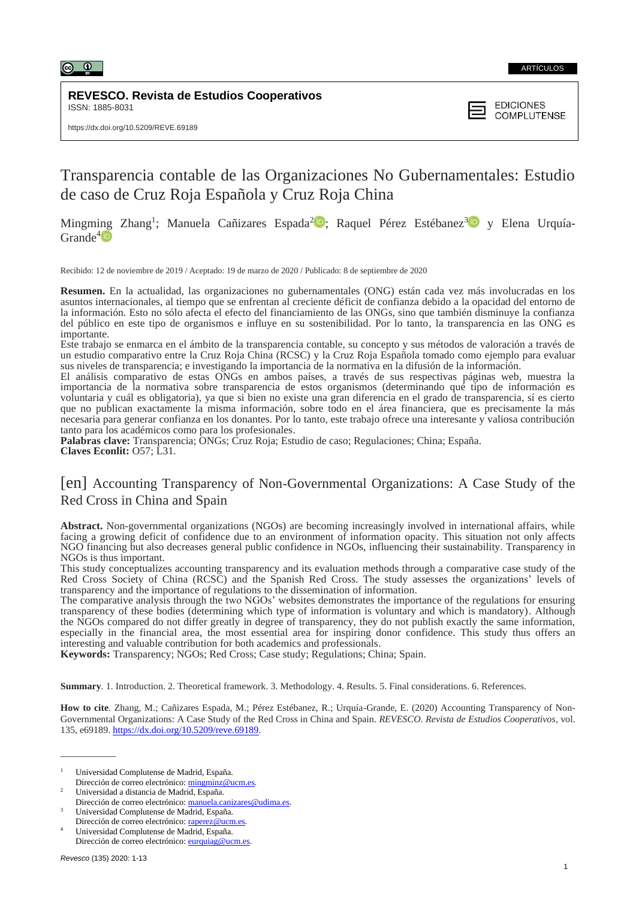

#### **REVESCO. Revista de Estudios Cooperativos** ISSN: 1885-8031

**EDICIONES COMPLUTENSE** 

# Transparencia contable de las Organizaciones No Gubernamentales: Estudio de caso de Cruz Roja Española y Cruz Roja China

Mingming Zhang<sup>1</sup>[;](https://orcid.org/0000-0002-8164-3694) Manuela Cañizares Espada<sup>2</sup>D; Raquel Pérez Estébanez<sup>[3](https://orcid.org/0000-0002-8203-5594)</sup>D y Elena Urquía-Grande<sup>[4](https://orcid.org/0000-0003-4724-7185)</sup>

Recibido: 12 de noviembre de 2019 / Aceptado: 19 de marzo de 2020 / Publicado: 8 de septiembre de 2020

**Resumen.** En la actualidad, las organizaciones no gubernamentales (ONG) están cada vez más involucradas en los asuntos internacionales, al tiempo que se enfrentan al creciente déficit de confianza debido a la opacidad del entorno de la información. Esto no sólo afecta el efecto del financiamiento de las ONGs, sino que también disminuye la confianza del público en este tipo de organismos e influye en su sostenibilidad. Por lo tanto, la transparencia en las ONG es importante.

Este trabajo se enmarca en el ámbito de la transparencia contable, su concepto y sus métodos de valoración a través de un estudio comparativo entre la Cruz Roja China (RCSC) y la Cruz Roja Española tomado como ejemplo para evaluar sus niveles de transparencia; e investigando la importancia de la normativa en la difusión de la información.

El análisis comparativo de estas ONGs en ambos países, a través de sus respectivas páginas web, muestra la importancia de la normativa sobre transparencia de estos organismos (determinando qué tipo de información es voluntaria y cuál es obligatoria), ya que si bien no existe una gran diferencia en el grado de transparencia, sí es cierto que no publican exactamente la misma información, sobre todo en el área financiera, que es precisamente la más necesaria para generar confianza en los donantes. Por lo tanto, este trabajo ofrece una interesante y valiosa contribución tanto para los académicos como para los profesionales.

**Palabras clave:** Transparencia; ONGs; Cruz Roja; Estudio de caso; Regulaciones; China; España. **Claves Econlit:** O57; L31*.*

## [en] Accounting Transparency of Non-Governmental Organizations: A Case Study of the Red Cross in China and Spain

**Abstract.** Non-governmental organizations (NGOs) are becoming increasingly involved in international affairs, while facing a growing deficit of confidence due to an environment of information opacity. This situation not only affects NGO financing but also decreases general public confidence in NGOs, influencing their sustainability. Transparency in NGOs is thus important.

This study conceptualizes accounting transparency and its evaluation methods through a comparative case study of the Red Cross Society of China (RCSC) and the Spanish Red Cross. The study assesses the organizations' levels of transparency and the importance of regulations to the dissemination of information.

The comparative analysis through the two NGOs' websites demonstrates the importance of the regulations for ensuring transparency of these bodies (determining which type of information is voluntary and which is mandatory). Although the NGOs compared do not differ greatly in degree of transparency, they do not publish exactly the same information, especially in the financial area, the most essential area for inspiring donor confidence. This study thus offers an interesting and valuable contribution for both academics and professionals.

**Keywords:** Transparency; NGOs; Red Cross; Case study; Regulations; China; Spain.

**Summary**. 1. Introduction. 2. Theoretical framework. 3. Methodology. 4. Results. 5. Final considerations. 6. References.

**How to cite**. Zhang, M.; Cañizares Espada, M.; Pérez Estébanez, R.; Urquía-Grande, E. (2020) Accounting Transparency of Non-Governmental Organizations: A Case Study of the Red Cross in China and Spain. *REVESCO. Revista de Estudios Cooperativos*, vol. 135, e69189. [https://dx.doi.org/10.5209/reve.69189.](https://dx.doi.org/10.5209/reve.69189)

\_\_\_\_\_\_\_\_\_\_\_\_\_

<sup>1</sup> Universidad Complutense de Madrid, España. Dirección de correo electrónico: mingminz@ucm.es

<sup>2</sup> Universidad a distancia de Madrid, España. Dirección de correo electrónico[: manuela.canizares@udima.es.](mailto:manuela.canizares@udima.es)

<sup>3</sup> Universidad Complutense de Madrid, España.

Dirección de correo electrónico: [raperez@ucm.es.](mailto:raperez@ucm.es)

<sup>4</sup> Universidad Complutense de Madrid, España. Dirección de correo electrónico: [eurquiag@ucm.es.](mailto:eurquiag@ucm.es)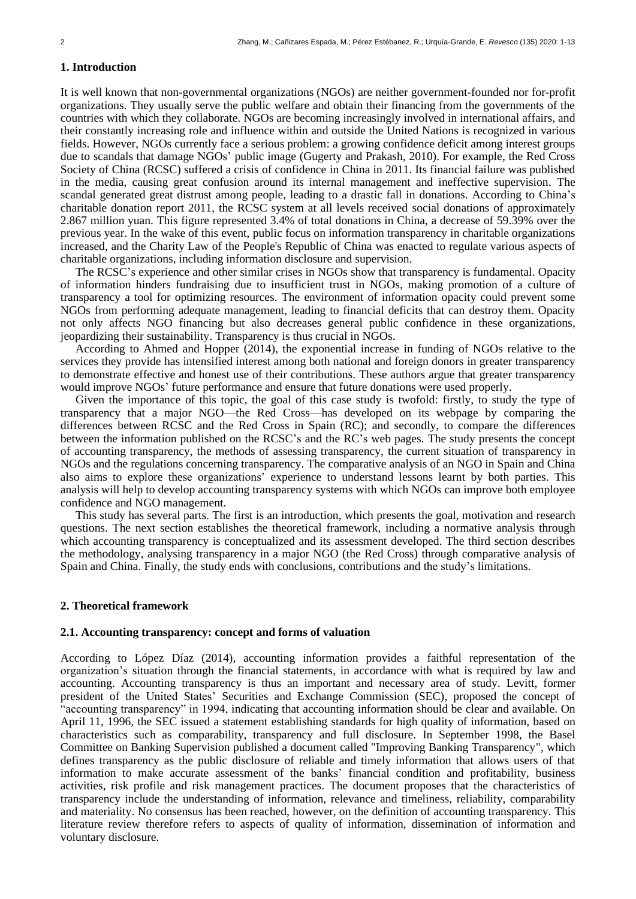## **1. Introduction**

It is well known that non-governmental organizations (NGOs) are neither government-founded nor for-profit organizations. They usually serve the public welfare and obtain their financing from the governments of the countries with which they collaborate. NGOs are becoming increasingly involved in international affairs, and their constantly increasing role and influence within and outside the United Nations is recognized in various fields. However, NGOs currently face a serious problem: a growing confidence deficit among interest groups due to scandals that damage NGOs' public image (Gugerty and Prakash, 2010). For example, the Red Cross Society of China (RCSC) suffered a crisis of confidence in China in 2011. Its financial failure was published in the media, causing great confusion around its internal management and ineffective supervision. The scandal generated great distrust among people, leading to a drastic fall in donations. According to China's charitable donation report 2011, the RCSC system at all levels received social donations of approximately 2.867 million yuan. This figure represented 3.4% of total donations in China, a decrease of 59.39% over the previous year. In the wake of this event, public focus on information transparency in charitable organizations increased, and the Charity Law of the People's Republic of China was enacted to regulate various aspects of charitable organizations, including information disclosure and supervision.

The RCSC's experience and other similar crises in NGOs show that transparency is fundamental. Opacity of information hinders fundraising due to insufficient trust in NGOs, making promotion of a culture of transparency a tool for optimizing resources. The environment of information opacity could prevent some NGOs from performing adequate management, leading to financial deficits that can destroy them. Opacity not only affects NGO financing but also decreases general public confidence in these organizations, jeopardizing their sustainability. Transparency is thus crucial in NGOs.

According to Ahmed and Hopper (2014), the exponential increase in funding of NGOs relative to the services they provide has intensified interest among both national and foreign donors in greater transparency to demonstrate effective and honest use of their contributions. These authors argue that greater transparency would improve NGOs' future performance and ensure that future donations were used properly.

Given the importance of this topic, the goal of this case study is twofold: firstly, to study the type of transparency that a major NGO—the Red Cross—has developed on its webpage by comparing the differences between RCSC and the Red Cross in Spain (RC); and secondly, to compare the differences between the information published on the RCSC's and the RC's web pages. The study presents the concept of accounting transparency, the methods of assessing transparency, the current situation of transparency in NGOs and the regulations concerning transparency. The comparative analysis of an NGO in Spain and China also aims to explore these organizations' experience to understand lessons learnt by both parties. This analysis will help to develop accounting transparency systems with which NGOs can improve both employee confidence and NGO management.

This study has several parts. The first is an introduction, which presents the goal, motivation and research questions. The next section establishes the theoretical framework, including a normative analysis through which accounting transparency is conceptualized and its assessment developed. The third section describes the methodology, analysing transparency in a major NGO (the Red Cross) through comparative analysis of Spain and China. Finally, the study ends with conclusions, contributions and the study's limitations.

## **2. Theoretical framework**

#### **2.1. Accounting transparency: concept and forms of valuation**

According to López Díaz (2014), accounting information provides a faithful representation of the organization's situation through the financial statements, in accordance with what is required by law and accounting. Accounting transparency is thus an important and necessary area of study. Levitt, former president of the United States' Securities and Exchange Commission (SEC), proposed the concept of "accounting transparency" in 1994, indicating that accounting information should be clear and available. On April 11, 1996, the SEC issued a statement establishing standards for high quality of information, based on characteristics such as comparability, transparency and full disclosure. In September 1998, the Basel Committee on Banking Supervision published a document called "Improving Banking Transparency", which defines transparency as the public disclosure of reliable and timely information that allows users of that information to make accurate assessment of the banks' financial condition and profitability, business activities, risk profile and risk management practices. The document proposes that the characteristics of transparency include the understanding of information, relevance and timeliness, reliability, comparability and materiality. No consensus has been reached, however, on the definition of accounting transparency. This literature review therefore refers to aspects of quality of information, dissemination of information and voluntary disclosure.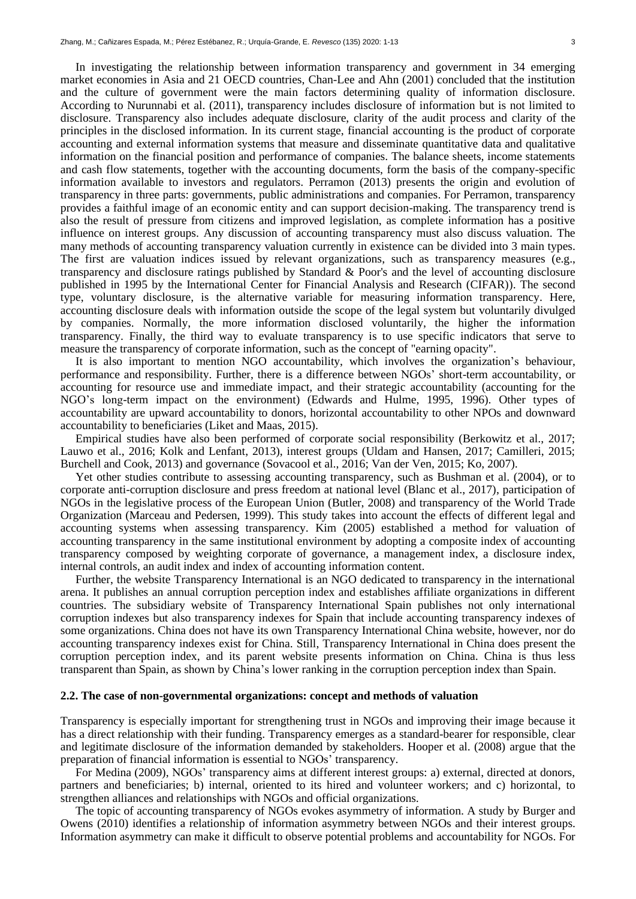In investigating the relationship between information transparency and government in 34 emerging market economies in Asia and 21 OECD countries, Chan-Lee and Ahn (2001) concluded that the institution and the culture of government were the main factors determining quality of information disclosure. According to Nurunnabi et al. (2011), transparency includes disclosure of information but is not limited to disclosure. Transparency also includes adequate disclosure, clarity of the audit process and clarity of the principles in the disclosed information. In its current stage, financial accounting is the product of corporate accounting and external information systems that measure and disseminate quantitative data and qualitative information on the financial position and performance of companies. The balance sheets, income statements and cash flow statements, together with the accounting documents, form the basis of the company-specific information available to investors and regulators. Perramon (2013) presents the origin and evolution of transparency in three parts: governments, public administrations and companies. For Perramon, transparency provides a faithful image of an economic entity and can support decision-making. The transparency trend is also the result of pressure from citizens and improved legislation, as complete information has a positive influence on interest groups. Any discussion of accounting transparency must also discuss valuation. The many methods of accounting transparency valuation currently in existence can be divided into 3 main types. The first are valuation indices issued by relevant organizations, such as transparency measures (e.g., transparency and disclosure ratings published by Standard & Poor's and the level of accounting disclosure published in 1995 by the International Center for Financial Analysis and Research (CIFAR)). The second type, voluntary disclosure, is the alternative variable for measuring information transparency. Here, accounting disclosure deals with information outside the scope of the legal system but voluntarily divulged by companies. Normally, the more information disclosed voluntarily, the higher the information transparency. Finally, the third way to evaluate transparency is to use specific indicators that serve to measure the transparency of corporate information, such as the concept of "earning opacity".

It is also important to mention NGO accountability, which involves the organization's behaviour, performance and responsibility. Further, there is a difference between NGOs' short-term accountability, or accounting for resource use and immediate impact, and their strategic accountability (accounting for the NGO's long-term impact on the environment) (Edwards and Hulme, 1995, 1996). Other types of accountability are upward accountability to donors, horizontal accountability to other NPOs and downward accountability to beneficiaries (Liket and Maas, 2015).

Empirical studies have also been performed of corporate social responsibility (Berkowitz et al., 2017; Lauwo et al., 2016; Kolk and Lenfant, 2013), interest groups (Uldam and Hansen, 2017; Camilleri, 2015; Burchell and Cook, 2013) and governance (Sovacool et al., 2016; Van der Ven, 2015; Ko, 2007).

Yet other studies contribute to assessing accounting transparency, such as Bushman et al. (2004), or to corporate anti-corruption disclosure and press freedom at national level (Blanc et al., 2017), participation of NGOs in the legislative process of the European Union (Butler, 2008) and transparency of the World Trade Organization (Marceau and Pedersen, 1999). This study takes into account the effects of different legal and accounting systems when assessing transparency. Kim (2005) established a method for valuation of accounting transparency in the same institutional environment by adopting a composite index of accounting transparency composed by weighting corporate of governance, a management index, a disclosure index, internal controls, an audit index and index of accounting information content.

Further, the website Transparency International is an NGO dedicated to transparency in the international arena. It publishes an annual corruption perception index and establishes affiliate organizations in different countries. The subsidiary website of Transparency International Spain publishes not only international corruption indexes but also transparency indexes for Spain that include accounting transparency indexes of some organizations. China does not have its own Transparency International China website, however, nor do accounting transparency indexes exist for China. Still, Transparency International in China does present the corruption perception index, and its parent website presents information on China. China is thus less transparent than Spain, as shown by China's lower ranking in the corruption perception index than Spain.

## **2.2. The case of non-governmental organizations: concept and methods of valuation**

Transparency is especially important for strengthening trust in NGOs and improving their image because it has a direct relationship with their funding. Transparency emerges as a standard-bearer for responsible, clear and legitimate disclosure of the information demanded by stakeholders. Hooper et al. (2008) argue that the preparation of financial information is essential to NGOs' transparency.

For Medina (2009), NGOs' transparency aims at different interest groups: a) external, directed at donors, partners and beneficiaries; b) internal, oriented to its hired and volunteer workers; and c) horizontal, to strengthen alliances and relationships with NGOs and official organizations.

The topic of accounting transparency of NGOs evokes asymmetry of information. A study by Burger and Owens (2010) identifies a relationship of information asymmetry between NGOs and their interest groups. Information asymmetry can make it difficult to observe potential problems and accountability for NGOs. For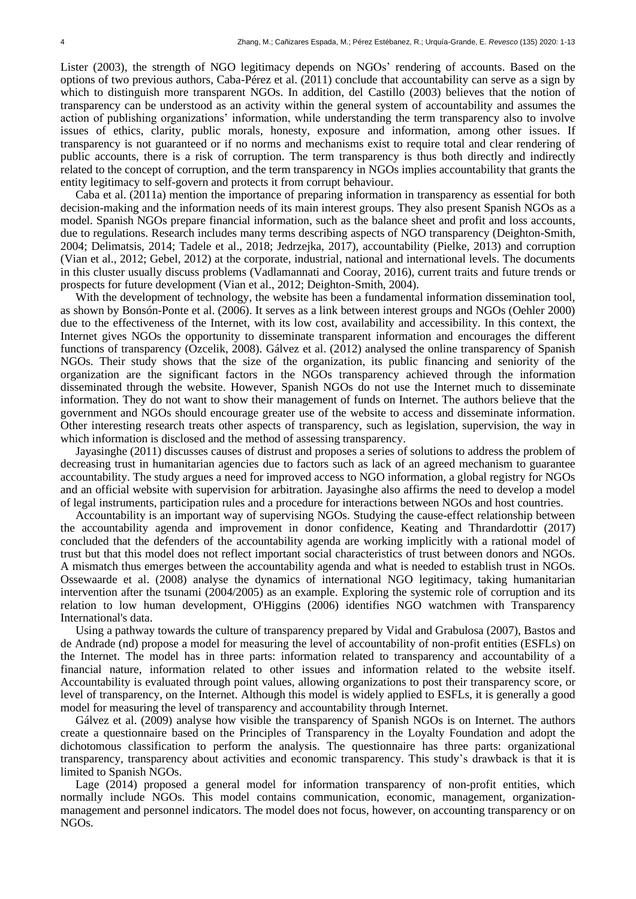Lister (2003), the strength of NGO legitimacy depends on NGOs' rendering of accounts. Based on the options of two previous authors, Caba-Pérez et al. (2011) conclude that accountability can serve as a sign by which to distinguish more transparent NGOs. In addition, del Castillo (2003) believes that the notion of transparency can be understood as an activity within the general system of accountability and assumes the action of publishing organizations' information, while understanding the term transparency also to involve issues of ethics, clarity, public morals, honesty, exposure and information, among other issues. If transparency is not guaranteed or if no norms and mechanisms exist to require total and clear rendering of public accounts, there is a risk of corruption. The term transparency is thus both directly and indirectly related to the concept of corruption, and the term transparency in NGOs implies accountability that grants the entity legitimacy to self-govern and protects it from corrupt behaviour.

Caba et al. (2011a) mention the importance of preparing information in transparency as essential for both decision-making and the information needs of its main interest groups. They also present Spanish NGOs as a model. Spanish NGOs prepare financial information, such as the balance sheet and profit and loss accounts, due to regulations. Research includes many terms describing aspects of NGO transparency (Deighton-Smith, 2004; Delimatsis, 2014; Tadele et al., 2018; Jedrzejka, 2017), accountability (Pielke, 2013) and corruption (Vian et al., 2012; Gebel, 2012) at the corporate, industrial, national and international levels. The documents in this cluster usually discuss problems (Vadlamannati and Cooray, 2016), current traits and future trends or prospects for future development (Vian et al., 2012; Deighton-Smith, 2004).

With the development of technology, the website has been a fundamental information dissemination tool, as shown by Bonsón-Ponte et al. (2006). It serves as a link between interest groups and NGOs (Oehler 2000) due to the effectiveness of the Internet, with its low cost, availability and accessibility. In this context, the Internet gives NGOs the opportunity to disseminate transparent information and encourages the different functions of transparency (Ozcelik, 2008). Gálvez et al. (2012) analysed the online transparency of Spanish NGOs. Their study shows that the size of the organization, its public financing and seniority of the organization are the significant factors in the NGOs transparency achieved through the information disseminated through the website. However, Spanish NGOs do not use the Internet much to disseminate information. They do not want to show their management of funds on Internet. The authors believe that the government and NGOs should encourage greater use of the website to access and disseminate information. Other interesting research treats other aspects of transparency, such as legislation, supervision, the way in which information is disclosed and the method of assessing transparency.

Jayasinghe (2011) discusses causes of distrust and proposes a series of solutions to address the problem of decreasing trust in humanitarian agencies due to factors such as lack of an agreed mechanism to guarantee accountability. The study argues a need for improved access to NGO information, a global registry for NGOs and an official website with supervision for arbitration. Jayasinghe also affirms the need to develop a model of legal instruments, participation rules and a procedure for interactions between NGOs and host countries.

Accountability is an important way of supervising NGOs. Studying the cause-effect relationship between the accountability agenda and improvement in donor confidence, Keating and Thrandardottir (2017) concluded that the defenders of the accountability agenda are working implicitly with a rational model of trust but that this model does not reflect important social characteristics of trust between donors and NGOs. A mismatch thus emerges between the accountability agenda and what is needed to establish trust in NGOs. Ossewaarde et al. (2008) analyse the dynamics of international NGO legitimacy, taking humanitarian intervention after the tsunami (2004/2005) as an example. Exploring the systemic role of corruption and its relation to low human development, O'Higgins (2006) identifies NGO watchmen with Transparency International's data.

Using a pathway towards the culture of transparency prepared by Vidal and Grabulosa (2007), Bastos and de Andrade (nd) propose a model for measuring the level of accountability of non-profit entities (ESFLs) on the Internet. The model has in three parts: information related to transparency and accountability of a financial nature, information related to other issues and information related to the website itself. Accountability is evaluated through point values, allowing organizations to post their transparency score, or level of transparency, on the Internet. Although this model is widely applied to ESFLs, it is generally a good model for measuring the level of transparency and accountability through Internet.

Gálvez et al. (2009) analyse how visible the transparency of Spanish NGOs is on Internet. The authors create a questionnaire based on the Principles of Transparency in the Loyalty Foundation and adopt the dichotomous classification to perform the analysis. The questionnaire has three parts: organizational transparency, transparency about activities and economic transparency. This study's drawback is that it is limited to Spanish NGOs.

Lage (2014) proposed a general model for information transparency of non-profit entities, which normally include NGOs. This model contains communication, economic, management, organizationmanagement and personnel indicators. The model does not focus, however, on accounting transparency or on NGOs.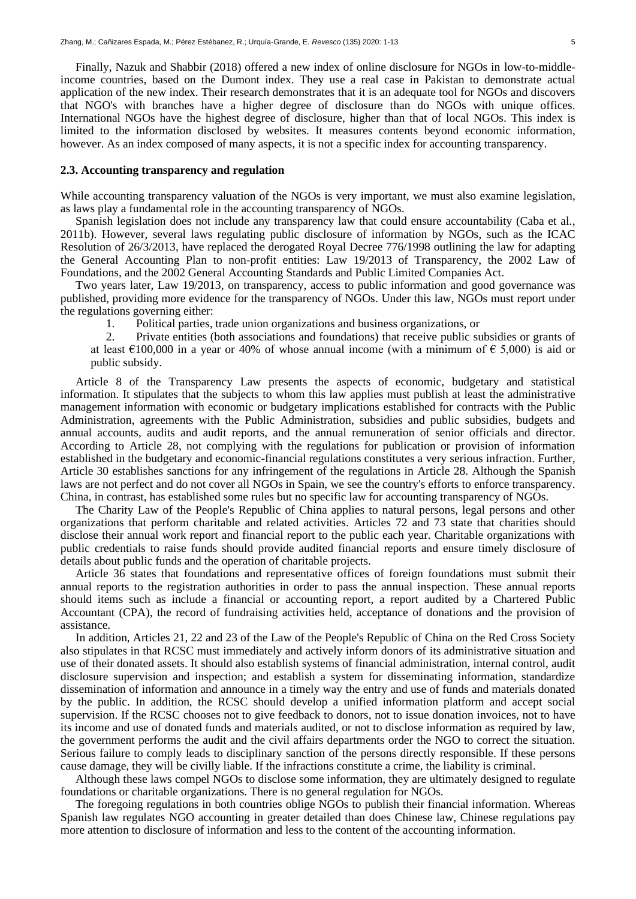Finally, Nazuk and Shabbir (2018) offered a new index of online disclosure for NGOs in low-to-middleincome countries, based on the Dumont index. They use a real case in Pakistan to demonstrate actual application of the new index. Their research demonstrates that it is an adequate tool for NGOs and discovers that NGO's with branches have a higher degree of disclosure than do NGOs with unique offices. International NGOs have the highest degree of disclosure, higher than that of local NGOs. This index is limited to the information disclosed by websites. It measures contents beyond economic information, however. As an index composed of many aspects, it is not a specific index for accounting transparency.

#### **2.3. Accounting transparency and regulation**

While accounting transparency valuation of the NGOs is very important, we must also examine legislation, as laws play a fundamental role in the accounting transparency of NGOs.

Spanish legislation does not include any transparency law that could ensure accountability (Caba et al., 2011b). However, several laws regulating public disclosure of information by NGOs, such as the ICAC Resolution of 26/3/2013, have replaced the derogated Royal Decree 776/1998 outlining the law for adapting the General Accounting Plan to non-profit entities: Law 19/2013 of Transparency, the 2002 Law of Foundations, and the 2002 General Accounting Standards and Public Limited Companies Act.

Two years later, Law 19/2013, on transparency, access to public information and good governance was published, providing more evidence for the transparency of NGOs. Under this law, NGOs must report under the regulations governing either:

- 1. Political parties, trade union organizations and business organizations, or
- 2. Private entities (both associations and foundations) that receive public subsidies or grants of at least  $\epsilon$ 100,000 in a year or 40% of whose annual income (with a minimum of  $\epsilon$  5,000) is aid or public subsidy.

Article 8 of the Transparency Law presents the aspects of economic, budgetary and statistical information. It stipulates that the subjects to whom this law applies must publish at least the administrative management information with economic or budgetary implications established for contracts with the Public Administration, agreements with the Public Administration, subsidies and public subsidies, budgets and annual accounts, audits and audit reports, and the annual remuneration of senior officials and director. According to Article 28, not complying with the regulations for publication or provision of information established in the budgetary and economic-financial regulations constitutes a very serious infraction. Further, Article 30 establishes sanctions for any infringement of the regulations in Article 28. Although the Spanish laws are not perfect and do not cover all NGOs in Spain, we see the country's efforts to enforce transparency. China, in contrast, has established some rules but no specific law for accounting transparency of NGOs.

The Charity Law of the People's Republic of China applies to natural persons, legal persons and other organizations that perform charitable and related activities. Articles 72 and 73 state that charities should disclose their annual work report and financial report to the public each year. Charitable organizations with public credentials to raise funds should provide audited financial reports and ensure timely disclosure of details about public funds and the operation of charitable projects.

Article 36 states that foundations and representative offices of foreign foundations must submit their annual reports to the registration authorities in order to pass the annual inspection. These annual reports should items such as include a financial or accounting report, a report audited by a Chartered Public Accountant (CPA), the record of fundraising activities held, acceptance of donations and the provision of assistance.

In addition, Articles 21, 22 and 23 of the Law of the People's Republic of China on the Red Cross Society also stipulates in that RCSC must immediately and actively inform donors of its administrative situation and use of their donated assets. It should also establish systems of financial administration, internal control, audit disclosure supervision and inspection; and establish a system for disseminating information, standardize dissemination of information and announce in a timely way the entry and use of funds and materials donated by the public. In addition, the RCSC should develop a unified information platform and accept social supervision. If the RCSC chooses not to give feedback to donors, not to issue donation invoices, not to have its income and use of donated funds and materials audited, or not to disclose information as required by law, the government performs the audit and the civil affairs departments order the NGO to correct the situation. Serious failure to comply leads to disciplinary sanction of the persons directly responsible. If these persons cause damage, they will be civilly liable. If the infractions constitute a crime, the liability is criminal.

Although these laws compel NGOs to disclose some information, they are ultimately designed to regulate foundations or charitable organizations. There is no general regulation for NGOs.

The foregoing regulations in both countries oblige NGOs to publish their financial information. Whereas Spanish law regulates NGO accounting in greater detailed than does Chinese law, Chinese regulations pay more attention to disclosure of information and less to the content of the accounting information.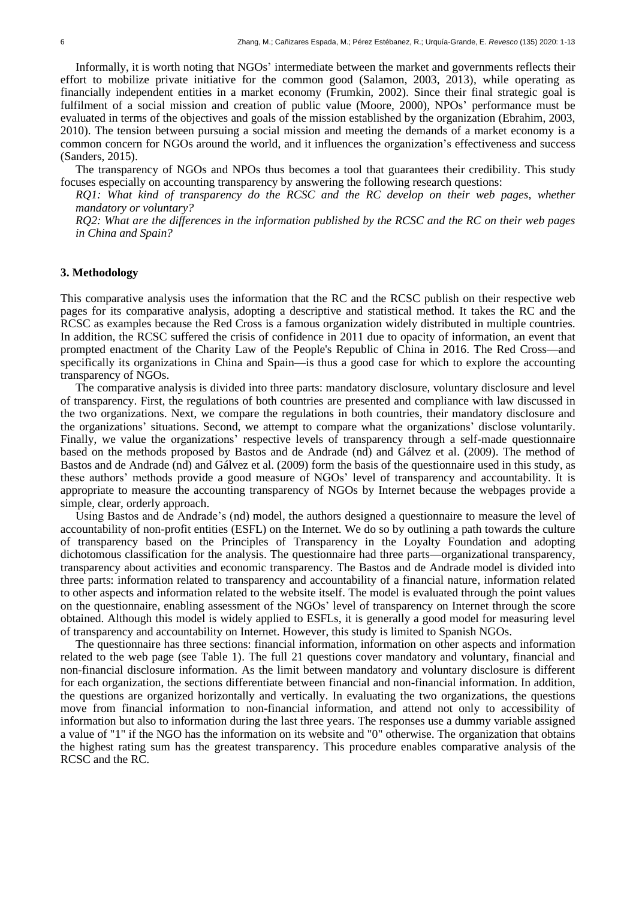Informally, it is worth noting that NGOs' intermediate between the market and governments reflects their effort to mobilize private initiative for the common good (Salamon, 2003, 2013), while operating as financially independent entities in a market economy (Frumkin, 2002). Since their final strategic goal is fulfilment of a social mission and creation of public value (Moore, 2000), NPOs' performance must be evaluated in terms of the objectives and goals of the mission established by the organization (Ebrahim, 2003, 2010). The tension between pursuing a social mission and meeting the demands of a market economy is a common concern for NGOs around the world, and it influences the organization's effectiveness and success (Sanders, 2015).

The transparency of NGOs and NPOs thus becomes a tool that guarantees their credibility. This study focuses especially on accounting transparency by answering the following research questions:

*RQ1: What kind of transparency do the RCSC and the RC develop on their web pages, whether mandatory or voluntary?*

*RQ2: What are the differences in the information published by the RCSC and the RC on their web pages in China and Spain?*

## **3. Methodology**

This comparative analysis uses the information that the RC and the RCSC publish on their respective web pages for its comparative analysis, adopting a descriptive and statistical method. It takes the RC and the RCSC as examples because the Red Cross is a famous organization widely distributed in multiple countries. In addition, the RCSC suffered the crisis of confidence in 2011 due to opacity of information, an event that prompted enactment of the Charity Law of the People's Republic of China in 2016. The Red Cross—and specifically its organizations in China and Spain—is thus a good case for which to explore the accounting transparency of NGOs.

The comparative analysis is divided into three parts: mandatory disclosure, voluntary disclosure and level of transparency. First, the regulations of both countries are presented and compliance with law discussed in the two organizations. Next, we compare the regulations in both countries, their mandatory disclosure and the organizations' situations. Second, we attempt to compare what the organizations' disclose voluntarily. Finally, we value the organizations' respective levels of transparency through a self-made questionnaire based on the methods proposed by Bastos and de Andrade (nd) and Gálvez et al. (2009). The method of Bastos and de Andrade (nd) and Gálvez et al. (2009) form the basis of the questionnaire used in this study, as these authors' methods provide a good measure of NGOs' level of transparency and accountability. It is appropriate to measure the accounting transparency of NGOs by Internet because the webpages provide a simple, clear, orderly approach.

Using Bastos and de Andrade's (nd) model, the authors designed a questionnaire to measure the level of accountability of non-profit entities (ESFL) on the Internet. We do so by outlining a path towards the culture of transparency based on the Principles of Transparency in the Loyalty Foundation and adopting dichotomous classification for the analysis. The questionnaire had three parts—organizational transparency, transparency about activities and economic transparency. The Bastos and de Andrade model is divided into three parts: information related to transparency and accountability of a financial nature, information related to other aspects and information related to the website itself. The model is evaluated through the point values on the questionnaire, enabling assessment of the NGOs' level of transparency on Internet through the score obtained. Although this model is widely applied to ESFLs, it is generally a good model for measuring level of transparency and accountability on Internet. However, this study is limited to Spanish NGOs.

The questionnaire has three sections: financial information, information on other aspects and information related to the web page (see Table 1). The full 21 questions cover mandatory and voluntary, financial and non-financial disclosure information. As the limit between mandatory and voluntary disclosure is different for each organization, the sections differentiate between financial and non-financial information. In addition, the questions are organized horizontally and vertically. In evaluating the two organizations, the questions move from financial information to non-financial information, and attend not only to accessibility of information but also to information during the last three years. The responses use a dummy variable assigned a value of "1" if the NGO has the information on its website and "0" otherwise. The organization that obtains the highest rating sum has the greatest transparency. This procedure enables comparative analysis of the RCSC and the RC.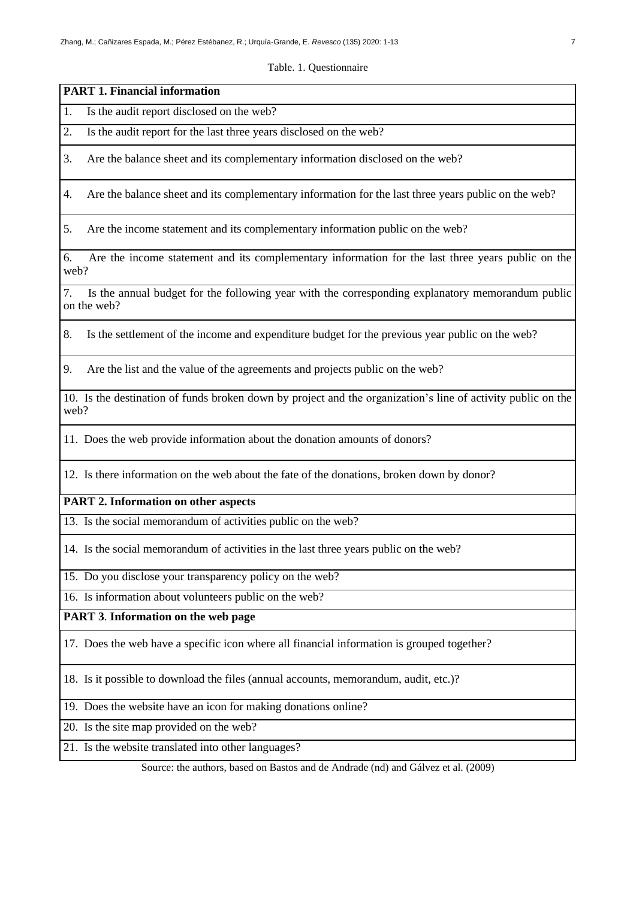Table. 1. Questionnaire

**PART 1. Financial information**

1. Is the audit report disclosed on the web?

2. Is the audit report for the last three years disclosed on the web?

3. Are the balance sheet and its complementary information disclosed on the web?

4. Are the balance sheet and its complementary information for the last three years public on the web?

5. Are the income statement and its complementary information public on the web?

6. Are the income statement and its complementary information for the last three years public on the we<sub>b</sub>?

7. Is the annual budget for the following year with the corresponding explanatory memorandum public on the web?

8. Is the settlement of the income and expenditure budget for the previous year public on the web?

9. Are the list and the value of the agreements and projects public on the web?

10. Is the destination of funds broken down by project and the organization's line of activity public on the web?

11. Does the web provide information about the donation amounts of donors?

12. Is there information on the web about the fate of the donations, broken down by donor?

## **PART 2. Information on other aspects**

13. Is the social memorandum of activities public on the web?

14. Is the social memorandum of activities in the last three years public on the web?

15. Do you disclose your transparency policy on the web?

16. Is information about volunteers public on the web?

**PART 3**. **Information on the web page**

17. Does the web have a specific icon where all financial information is grouped together?

18. Is it possible to download the files (annual accounts, memorandum, audit, etc.)?

19. Does the website have an icon for making donations online?

20. Is the site map provided on the web?

21. Is the website translated into other languages?

Source: the authors, based on Bastos and de Andrade (nd) and Gálvez et al. (2009)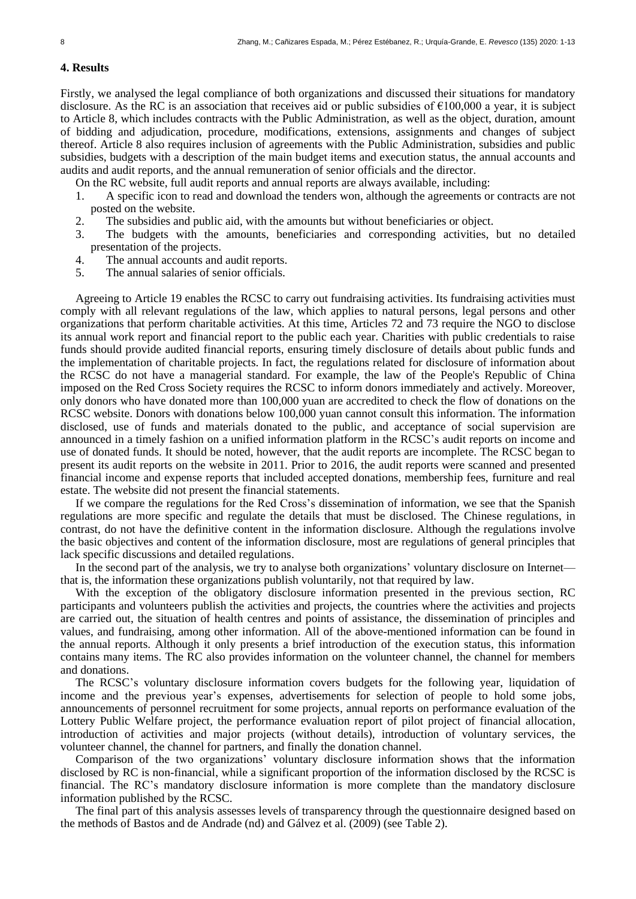## **4. Results**

Firstly, we analysed the legal compliance of both organizations and discussed their situations for mandatory disclosure. As the RC is an association that receives aid or public subsidies of  $\epsilon$ 100,000 a year, it is subject to Article 8, which includes contracts with the Public Administration, as well as the object, duration, amount of bidding and adjudication, procedure, modifications, extensions, assignments and changes of subject thereof. Article 8 also requires inclusion of agreements with the Public Administration, subsidies and public subsidies, budgets with a description of the main budget items and execution status, the annual accounts and audits and audit reports, and the annual remuneration of senior officials and the director.

On the RC website, full audit reports and annual reports are always available, including:

- 1. A specific icon to read and download the tenders won, although the agreements or contracts are not posted on the website.
- 2. The subsidies and public aid, with the amounts but without beneficiaries or object.
- 3. The budgets with the amounts, beneficiaries and corresponding activities, but no detailed presentation of the projects.
- 4. The annual accounts and audit reports.
- 5. The annual salaries of senior officials.

Agreeing to Article 19 enables the RCSC to carry out fundraising activities. Its fundraising activities must comply with all relevant regulations of the law, which applies to natural persons, legal persons and other organizations that perform charitable activities. At this time, Articles 72 and 73 require the NGO to disclose its annual work report and financial report to the public each year. Charities with public credentials to raise funds should provide audited financial reports, ensuring timely disclosure of details about public funds and the implementation of charitable projects. In fact, the regulations related for disclosure of information about the RCSC do not have a managerial standard. For example, the law of the People's Republic of China imposed on the Red Cross Society requires the RCSC to inform donors immediately and actively. Moreover, only donors who have donated more than 100,000 yuan are accredited to check the flow of donations on the RCSC website. Donors with donations below 100,000 yuan cannot consult this information. The information disclosed, use of funds and materials donated to the public, and acceptance of social supervision are announced in a timely fashion on a unified information platform in the RCSC's audit reports on income and use of donated funds. It should be noted, however, that the audit reports are incomplete. The RCSC began to present its audit reports on the website in 2011. Prior to 2016, the audit reports were scanned and presented financial income and expense reports that included accepted donations, membership fees, furniture and real estate. The website did not present the financial statements.

If we compare the regulations for the Red Cross's dissemination of information, we see that the Spanish regulations are more specific and regulate the details that must be disclosed. The Chinese regulations, in contrast, do not have the definitive content in the information disclosure. Although the regulations involve the basic objectives and content of the information disclosure, most are regulations of general principles that lack specific discussions and detailed regulations.

In the second part of the analysis, we try to analyse both organizations' voluntary disclosure on Internet that is, the information these organizations publish voluntarily, not that required by law.

With the exception of the obligatory disclosure information presented in the previous section, RC participants and volunteers publish the activities and projects, the countries where the activities and projects are carried out, the situation of health centres and points of assistance, the dissemination of principles and values, and fundraising, among other information. All of the above-mentioned information can be found in the annual reports. Although it only presents a brief introduction of the execution status, this information contains many items. The RC also provides information on the volunteer channel, the channel for members and donations.

The RCSC's voluntary disclosure information covers budgets for the following year, liquidation of income and the previous year's expenses, advertisements for selection of people to hold some jobs, announcements of personnel recruitment for some projects, annual reports on performance evaluation of the Lottery Public Welfare project, the performance evaluation report of pilot project of financial allocation, introduction of activities and major projects (without details), introduction of voluntary services, the volunteer channel, the channel for partners, and finally the donation channel.

Comparison of the two organizations' voluntary disclosure information shows that the information disclosed by RC is non-financial, while a significant proportion of the information disclosed by the RCSC is financial. The RC's mandatory disclosure information is more complete than the mandatory disclosure information published by the RCSC.

The final part of this analysis assesses levels of transparency through the questionnaire designed based on the methods of Bastos and de Andrade (nd) and Gálvez et al. (2009) (see Table 2).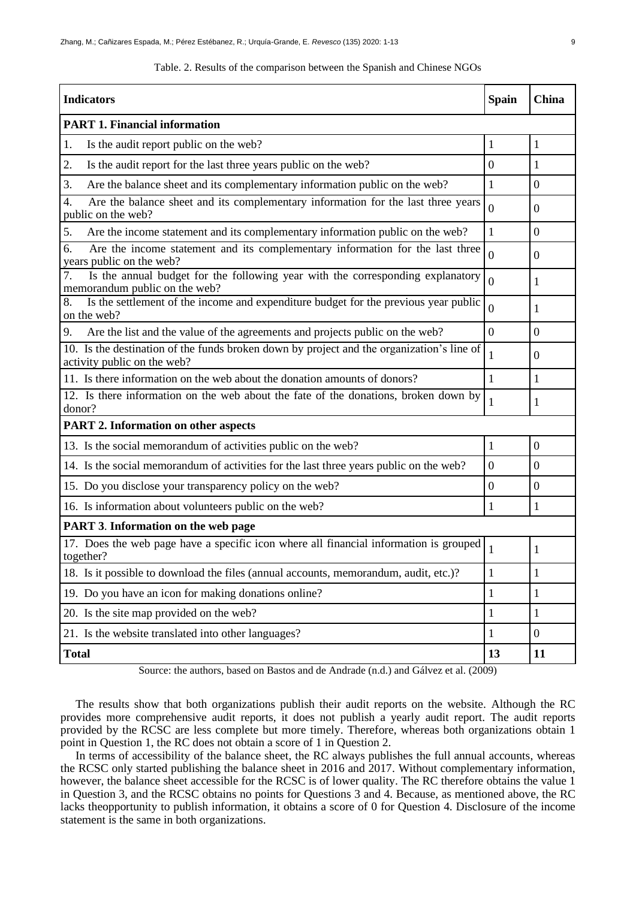### Table. 2. Results of the comparison between the Spanish and Chinese NGOs

| <b>Indicators</b>                                                                                                          | <b>Spain</b>     | China            |
|----------------------------------------------------------------------------------------------------------------------------|------------------|------------------|
| <b>PART 1. Financial information</b>                                                                                       |                  |                  |
| Is the audit report public on the web?<br>1.                                                                               | 1                | 1                |
| 2.<br>Is the audit report for the last three years public on the web?                                                      | $\overline{0}$   | 1                |
| 3.<br>Are the balance sheet and its complementary information public on the web?                                           | 1                | $\overline{0}$   |
| Are the balance sheet and its complementary information for the last three years<br>$\overline{4}$ .<br>public on the web? | $\overline{0}$   | 0                |
| Are the income statement and its complementary information public on the web?<br>5.                                        | 1                | 0                |
| Are the income statement and its complementary information for the last three<br>6.<br>years public on the web?            | $\overline{0}$   | $\Omega$         |
| Is the annual budget for the following year with the corresponding explanatory<br>7.<br>memorandum public on the web?      | $\overline{0}$   | 1                |
| Is the settlement of the income and expenditure budget for the previous year public<br>8.<br>on the web?                   | $\overline{0}$   | 1                |
| Are the list and the value of the agreements and projects public on the web?<br>9.                                         | $\boldsymbol{0}$ | $\overline{0}$   |
| 10. Is the destination of the funds broken down by project and the organization's line of<br>activity public on the web?   | 1                | $\Omega$         |
| 11. Is there information on the web about the donation amounts of donors?                                                  | $\mathbf{1}$     | 1                |
| 12. Is there information on the web about the fate of the donations, broken down by<br>donor?                              | 1                | 1                |
| <b>PART 2. Information on other aspects</b>                                                                                |                  |                  |
| 13. Is the social memorandum of activities public on the web?                                                              | 1                | $\boldsymbol{0}$ |
| 14. Is the social memorandum of activities for the last three years public on the web?                                     | $\boldsymbol{0}$ | $\overline{0}$   |
| 15. Do you disclose your transparency policy on the web?                                                                   | $\overline{0}$   | $\overline{0}$   |
| 16. Is information about volunteers public on the web?                                                                     | $\mathbf{1}$     | 1                |
| <b>PART 3. Information on the web page</b>                                                                                 |                  |                  |
| 17. Does the web page have a specific icon where all financial information is grouped<br>together?                         | $\mathbf{1}$     | 1                |
| 18. Is it possible to download the files (annual accounts, memorandum, audit, etc.)?                                       | $\mathbf{1}$     | 1                |
| 19. Do you have an icon for making donations online?                                                                       | $\mathbf{1}$     | 1                |
| 20. Is the site map provided on the web?                                                                                   | 1                | 1                |
| 21. Is the website translated into other languages?                                                                        | $\mathbf{1}$     | $\overline{0}$   |
| <b>Total</b>                                                                                                               | 13               | 11               |

Source: the authors, based on Bastos and de Andrade (n.d.) and Gálvez et al. (2009)

The results show that both organizations publish their audit reports on the website. Although the RC provides more comprehensive audit reports, it does not publish a yearly audit report. The audit reports provided by the RCSC are less complete but more timely. Therefore, whereas both organizations obtain 1 point in Question 1, the RC does not obtain a score of 1 in Question 2.

In terms of accessibility of the balance sheet, the RC always publishes the full annual accounts, whereas the RCSC only started publishing the balance sheet in 2016 and 2017. Without complementary information, however, the balance sheet accessible for the RCSC is of lower quality. The RC therefore obtains the value 1 in Question 3, and the RCSC obtains no points for Questions 3 and 4. Because, as mentioned above, the RC lacks theopportunity to publish information, it obtains a score of 0 for Question 4. Disclosure of the income statement is the same in both organizations.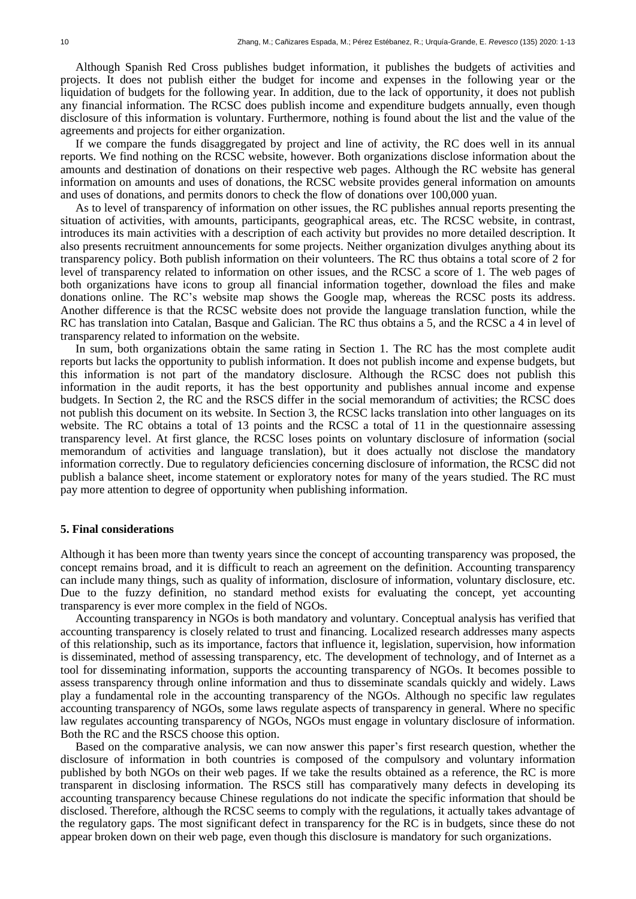Although Spanish Red Cross publishes budget information, it publishes the budgets of activities and projects. It does not publish either the budget for income and expenses in the following year or the liquidation of budgets for the following year. In addition, due to the lack of opportunity, it does not publish any financial information. The RCSC does publish income and expenditure budgets annually, even though disclosure of this information is voluntary. Furthermore, nothing is found about the list and the value of the agreements and projects for either organization.

If we compare the funds disaggregated by project and line of activity, the RC does well in its annual reports. We find nothing on the RCSC website, however. Both organizations disclose information about the amounts and destination of donations on their respective web pages. Although the RC website has general information on amounts and uses of donations, the RCSC website provides general information on amounts and uses of donations, and permits donors to check the flow of donations over 100,000 yuan.

As to level of transparency of information on other issues, the RC publishes annual reports presenting the situation of activities, with amounts, participants, geographical areas, etc. The RCSC website, in contrast, introduces its main activities with a description of each activity but provides no more detailed description. It also presents recruitment announcements for some projects. Neither organization divulges anything about its transparency policy. Both publish information on their volunteers. The RC thus obtains a total score of 2 for level of transparency related to information on other issues, and the RCSC a score of 1. The web pages of both organizations have icons to group all financial information together, download the files and make donations online. The RC's website map shows the Google map, whereas the RCSC posts its address. Another difference is that the RCSC website does not provide the language translation function, while the RC has translation into Catalan, Basque and Galician. The RC thus obtains a 5, and the RCSC a 4 in level of transparency related to information on the website.

In sum, both organizations obtain the same rating in Section 1. The RC has the most complete audit reports but lacks the opportunity to publish information. It does not publish income and expense budgets, but this information is not part of the mandatory disclosure. Although the RCSC does not publish this information in the audit reports, it has the best opportunity and publishes annual income and expense budgets. In Section 2, the RC and the RSCS differ in the social memorandum of activities; the RCSC does not publish this document on its website. In Section 3, the RCSC lacks translation into other languages on its website. The RC obtains a total of 13 points and the RCSC a total of 11 in the questionnaire assessing transparency level. At first glance, the RCSC loses points on voluntary disclosure of information (social memorandum of activities and language translation), but it does actually not disclose the mandatory information correctly. Due to regulatory deficiencies concerning disclosure of information, the RCSC did not publish a balance sheet, income statement or exploratory notes for many of the years studied. The RC must pay more attention to degree of opportunity when publishing information.

#### **5. Final considerations**

Although it has been more than twenty years since the concept of accounting transparency was proposed, the concept remains broad, and it is difficult to reach an agreement on the definition. Accounting transparency can include many things, such as quality of information, disclosure of information, voluntary disclosure, etc. Due to the fuzzy definition, no standard method exists for evaluating the concept, yet accounting transparency is ever more complex in the field of NGOs.

Accounting transparency in NGOs is both mandatory and voluntary. Conceptual analysis has verified that accounting transparency is closely related to trust and financing. Localized research addresses many aspects of this relationship, such as its importance, factors that influence it, legislation, supervision, how information is disseminated, method of assessing transparency, etc. The development of technology, and of Internet as a tool for disseminating information, supports the accounting transparency of NGOs. It becomes possible to assess transparency through online information and thus to disseminate scandals quickly and widely. Laws play a fundamental role in the accounting transparency of the NGOs. Although no specific law regulates accounting transparency of NGOs, some laws regulate aspects of transparency in general. Where no specific law regulates accounting transparency of NGOs, NGOs must engage in voluntary disclosure of information. Both the RC and the RSCS choose this option.

Based on the comparative analysis, we can now answer this paper's first research question, whether the disclosure of information in both countries is composed of the compulsory and voluntary information published by both NGOs on their web pages. If we take the results obtained as a reference, the RC is more transparent in disclosing information. The RSCS still has comparatively many defects in developing its accounting transparency because Chinese regulations do not indicate the specific information that should be disclosed. Therefore, although the RCSC seems to comply with the regulations, it actually takes advantage of the regulatory gaps. The most significant defect in transparency for the RC is in budgets, since these do not appear broken down on their web page, even though this disclosure is mandatory for such organizations.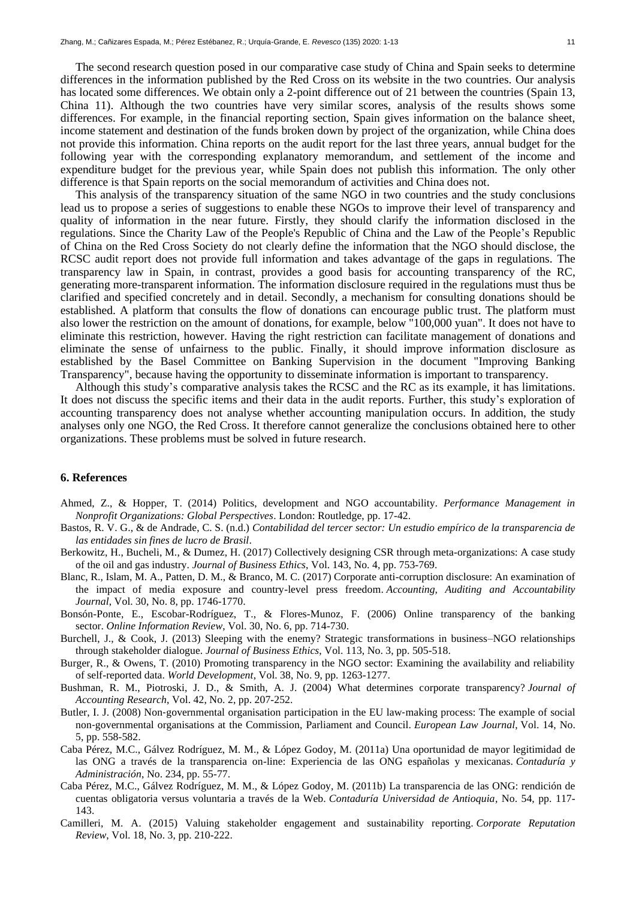The second research question posed in our comparative case study of China and Spain seeks to determine differences in the information published by the Red Cross on its website in the two countries. Our analysis has located some differences. We obtain only a 2-point difference out of 21 between the countries (Spain 13, China 11). Although the two countries have very similar scores, analysis of the results shows some differences. For example, in the financial reporting section, Spain gives information on the balance sheet, income statement and destination of the funds broken down by project of the organization, while China does not provide this information. China reports on the audit report for the last three years, annual budget for the following year with the corresponding explanatory memorandum, and settlement of the income and expenditure budget for the previous year, while Spain does not publish this information. The only other difference is that Spain reports on the social memorandum of activities and China does not.

This analysis of the transparency situation of the same NGO in two countries and the study conclusions lead us to propose a series of suggestions to enable these NGOs to improve their level of transparency and quality of information in the near future. Firstly, they should clarify the information disclosed in the regulations. Since the Charity Law of the People's Republic of China and the Law of the People's Republic of China on the Red Cross Society do not clearly define the information that the NGO should disclose, the RCSC audit report does not provide full information and takes advantage of the gaps in regulations. The transparency law in Spain, in contrast, provides a good basis for accounting transparency of the RC, generating more-transparent information. The information disclosure required in the regulations must thus be clarified and specified concretely and in detail. Secondly, a mechanism for consulting donations should be established. A platform that consults the flow of donations can encourage public trust. The platform must also lower the restriction on the amount of donations, for example, below "100,000 yuan". It does not have to eliminate this restriction, however. Having the right restriction can facilitate management of donations and eliminate the sense of unfairness to the public. Finally, it should improve information disclosure as established by the Basel Committee on Banking Supervision in the document "Improving Banking Transparency", because having the opportunity to disseminate information is important to transparency.

Although this study's comparative analysis takes the RCSC and the RC as its example, it has limitations. It does not discuss the specific items and their data in the audit reports. Further, this study's exploration of accounting transparency does not analyse whether accounting manipulation occurs. In addition, the study analyses only one NGO, the Red Cross. It therefore cannot generalize the conclusions obtained here to other organizations. These problems must be solved in future research.

#### **6. References**

- Ahmed, Z., & Hopper, T. (2014) Politics, development and NGO accountability*. Performance Management in Nonprofit Organizations: Global Perspectives*. London: Routledge, pp. 17-42.
- Bastos, R. V. G., & de Andrade, C. S. (n.d.) *Contabilidad del tercer sector: Un estudio empírico de la transparencia de las entidades sin fines de lucro de Brasil*.
- Berkowitz, H., Bucheli, M., & Dumez, H. (2017) Collectively designing CSR through meta-organizations: A case study of the oil and gas industry. *Journal of Business Ethics*, Vol. 143, No. 4, pp. 753-769.
- Blanc, R., Islam, M. A., Patten, D. M., & Branco, M. C. (2017) Corporate anti-corruption disclosure: An examination of the impact of media exposure and country-level press freedom. *Accounting, Auditing and Accountability Journal*, Vol. 30, No. 8, pp. 1746-1770.
- Bonsón-Ponte, E., Escobar-Rodríguez, T., & Flores-Munoz, F. (2006) Online transparency of the banking sector. *Online Information Review*, Vol. 30, No. 6, pp. 714-730.
- Burchell, J., & Cook, J. (2013) Sleeping with the enemy? Strategic transformations in business–NGO relationships through stakeholder dialogue. *Journal of Business Ethics*, Vol. 113, No. 3, pp. 505-518.
- Burger, R., & Owens, T. (2010) Promoting transparency in the NGO sector: Examining the availability and reliability of self-reported data. *World Development*, Vol. 38, No. 9, pp. 1263-1277.
- Bushman, R. M., Piotroski, J. D., & Smith, A. J. (2004) What determines corporate transparency? *Journal of Accounting Research*, Vol. 42, No. 2, pp. 207-252.
- Butler, I. J. (2008) Non-governmental organisation participation in the EU law-making process: The example of social non‐governmental organisations at the Commission, Parliament and Council. *European Law Journal*, Vol. 14, No. 5, pp. 558-582.
- Caba Pérez, M.C., Gálvez Rodríguez, M. M., & López Godoy, M. (2011a) Una oportunidad de mayor legitimidad de las ONG a través de la transparencia on-line: Experiencia de las ONG españolas y mexicanas. *Contaduría y Administración*, No. 234, pp. 55-77.
- Caba Pérez, M.C., Gálvez Rodríguez, M. M., & López Godoy, M. (2011b) La transparencia de las ONG: rendición de cuentas obligatoria versus voluntaria a través de la Web. *Contaduría Universidad de Antioquia*, No. 54, pp. 117- 143.
- Camilleri, M. A. (2015) Valuing stakeholder engagement and sustainability reporting. *Corporate Reputation Review*, Vol. 18, No. 3, pp. 210-222.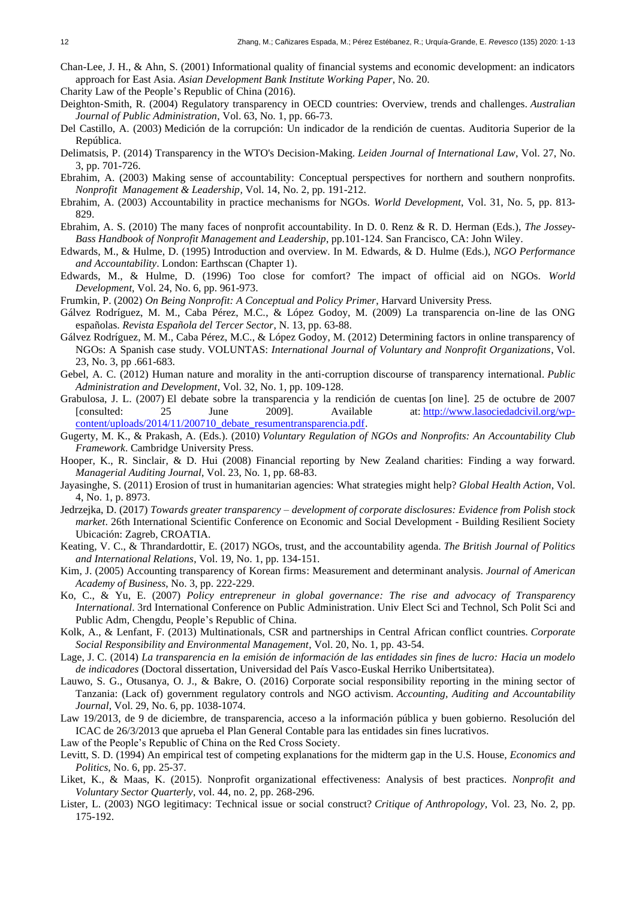- Chan-Lee, J. H., & Ahn, S. (2001) Informational quality of financial systems and economic development: an indicators approach for East Asia. *Asian Development Bank Institute Working Paper*, No. 20.
- Charity Law of the People's Republic of China (2016).
- Deighton‐Smith, R. (2004) Regulatory transparency in OECD countries: Overview, trends and challenges. *Australian Journal of Public Administration*, Vol. 63, No. 1, pp. 66-73.
- Del Castillo, A. (2003) Medición de la corrupción: Un indicador de la rendición de cuentas. Auditoria Superior de la República.
- Delimatsis, P. (2014) Transparency in the WTO's Decision-Making. *Leiden Journal of International Law*, Vol. 27, No. 3, pp. 701-726.
- Ebrahim, A. (2003) Making sense of accountability: Conceptual perspectives for northern and southern nonprofits. *Nonprofit Management & Leadership,* Vol. 14, No. 2, pp. 191-212.
- Ebrahim, A. (2003) Accountability in practice mechanisms for NGOs. *World Development*, Vol. 31, No. 5, pp. 813- 829.
- Ebrahim, A. S. (2010) The many faces of nonprofit accountability. In D. 0. Renz & R. D. Herman (Eds.), *The Jossey-Bass Handbook of Nonprofit Management and Leadership*, pp.101-124. San Francisco, CA: John Wiley.
- Edwards, M., & Hulme, D. (1995) Introduction and overview. In M. Edwards, & D. Hulme (Eds.), *NGO Performance and Accountability*. London: Earthscan (Chapter 1).
- Edwards, M., & Hulme, D. (1996) Too close for comfort? The impact of official aid on NGOs. *World Development*, Vol. 24, No. 6, pp. 961-973.
- Frumkin, P. (2002) *On Being Nonprofit: A Conceptual and Policy Primer*, Harvard University Press.
- Gálvez Rodríguez, M. M., Caba Pérez, M.C., & López Godoy, M. (2009) La transparencia on-line de las ONG españolas. *Revista Española del Tercer Sector*, N. 13, pp. 63-88.
- Gálvez Rodríguez, M. M., Caba Pérez, M.C., & López Godoy, M. (2012) Determining factors in online transparency of NGOs: A Spanish case study. VOLUNTAS: *International Journal of Voluntary and Nonprofit Organizations*, Vol. 23, No. 3, pp .661-683.
- Gebel, A. C. (2012) Human nature and morality in the anti-corruption discourse of transparency international. *Public Administration and Development*, Vol. 32, No. 1, pp. 109-128.
- Grabulosa, J. L. (2007) El debate sobre la transparencia y la rendición de cuentas [on line]. 25 de octubre de 2007 [consulted: 25 June 2009]. Available at: [http://www.lasociedadcivil.org/wp](http://www.lasociedadcivil.org/wp-content/uploads/2014/11/200710_debate_resumentransparencia.pdf)[content/uploads/2014/11/200710\\_debate\\_resumentransparencia.pdf.](http://www.lasociedadcivil.org/wp-content/uploads/2014/11/200710_debate_resumentransparencia.pdf)
- Gugerty, M. K., & Prakash, A. (Eds.). (2010) *Voluntary Regulation of NGOs and Nonprofits: An Accountability Club Framework*. Cambridge University Press.
- Hooper, K., R. Sinclair, & D. Hui (2008) Financial reporting by New Zealand charities: Finding a way forward. *Managerial Auditing Journal*, Vol. 23, No. 1, pp. 68-83.
- Jayasinghe, S. (2011) Erosion of trust in humanitarian agencies: What strategies might help? *Global Health Action*, Vol. 4, No. 1, p. 8973.
- Jedrzejka, D. (2017) *Towards greater transparency – development of corporate disclosures: Evidence from Polish stock market*. 26th International Scientific Conference on Economic and Social Development - Building Resilient Society Ubicación: Zagreb, CROATIA.
- Keating, V. C., & Thrandardottir, E. (2017) NGOs, trust, and the accountability agenda. *The British Journal of Politics and International Relations*, Vol. 19, No. 1, pp. 134-151.
- Kim, J. (2005) Accounting transparency of Korean firms: Measurement and determinant analysis. *Journal of American Academy of Business*, No. 3, pp. 222-229.
- Ko, C., & Yu, E. (2007) *Policy entrepreneur in global governance: The rise and advocacy of Transparency International*. 3rd International Conference on Public Administration. Univ Elect Sci and Technol, Sch Polit Sci and Public Adm, Chengdu, People's Republic of China.
- Kolk, A., & Lenfant, F. (2013) Multinationals, CSR and partnerships in Central African conflict countries. *Corporate Social Responsibility and Environmental Management*, Vol. 20, No. 1, pp. 43-54.
- Lage, J. C. (2014) *La transparencia en la emisión de información de las entidades sin fines de lucro: Hacia un modelo de indicadores* (Doctoral dissertation, Universidad del País Vasco-Euskal Herriko Unibertsitatea).
- Lauwo, S. G., Otusanya, O. J., & Bakre, O. (2016) Corporate social responsibility reporting in the mining sector of Tanzania: (Lack of) government regulatory controls and NGO activism. *Accounting, Auditing and Accountability Journal*, Vol. 29, No. 6, pp. 1038-1074.
- Law 19/2013, de 9 de diciembre, de transparencia, acceso a la información pública y buen gobierno. Resolución del ICAC de 26/3/2013 que aprueba el Plan General Contable para las entidades sin fines lucrativos.
- Law of the People's Republic of China on the Red Cross Society.
- Levitt, S. D. (1994) An empirical test of competing explanations for the midterm gap in the U.S. House, *Economics and Politics*, No. 6, pp. 25-37.
- Liket, K., & Maas, K. (2015). Nonprofit organizational effectiveness: Analysis of best practices. *Nonprofit and Voluntary Sector Quarterly*, vol. 44, no. 2, pp. 268-296.
- Lister, L. (2003) NGO legitimacy: Technical issue or social construct? *Critique of Anthropology*, Vol. 23, No. 2, pp. 175-192.